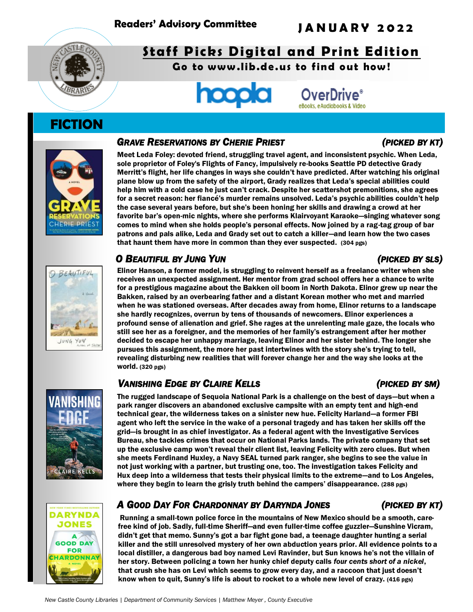

# **Staff Picks Digital and Print Edition**

Go to www.lib.de.us to find out how!



# **FICTION**



### *GRAVE RESERVATIONS BY CHERIE PRIEST (PICKED BY KT)*

Meet Leda Foley: devoted friend, struggling travel agent, and inconsistent psychic. When Leda, sole proprietor of Foley's Flights of Fancy, impulsively re-books Seattle PD detective Grady Merritt's flight, her life changes in ways she couldn't have predicted. After watching his original plane blow up from the safety of the airport, Grady realizes that Leda's special abilities could help him with a cold case he just can't crack. Despite her scattershot premonitions, she agrees for a secret reason: her fiancé's murder remains unsolved. Leda's psychic abilities couldn't help the case several years before, but she's been honing her skills and drawing a crowd at her favorite bar's open-mic nights, where she performs Klairvoyant Karaoke—singing whatever song comes to mind when she holds people's personal effects. Now joined by a rag-tag group of bar patrons and pals alike, Leda and Grady set out to catch a killer—and learn how the two cases that haunt them have more in common than they ever suspected. (304 pgs)

### *O BEAUTIFUL BY JUNG YUN (PICKED BY SLS)*

### Elinor Hanson, a former model, is struggling to reinvent herself as a freelance writer when she receives an unexpected assignment. Her mentor from grad school offers her a chance to write for a prestigious magazine about the Bakken oil boom in North Dakota. Elinor grew up near the Bakken, raised by an overbearing father and a distant Korean mother who met and married when he was stationed overseas. After decades away from home, Elinor returns to a landscape she hardly recognizes, overrun by tens of thousands of newcomers. Elinor experiences a profound sense of alienation and grief. She rages at the unrelenting male gaze, the locals who still see her as a foreigner, and the memories of her family's estrangement after her mother decided to escape her unhappy marriage, leaving Elinor and her sister behind. The longer she pursues this assignment, the more her past intertwines with the story she's trying to tell, revealing disturbing new realities that will forever change her and the way she looks at the world. (320 pgs)

## *VANISHING EDGE BY CLAIRE KELLS (PICKED BY SM)*

The rugged landscape of Sequoia National Park is a challenge on the best of days—but when a park ranger discovers an abandoned exclusive campsite with an empty tent and high-end technical gear, the wilderness takes on a sinister new hue. Felicity Harland—a former FBI agent who left the service in the wake of a personal tragedy and has taken her skills off the grid—is brought in as chief investigator. As a federal agent with the Investigative Services Bureau, she tackles crimes that occur on National Parks lands. The private company that set up the exclusive camp won't reveal their client list, leaving Felicity with zero clues. But when she meets Ferdinand Huxley, a Navy SEAL turned park ranger, she begins to see the value in not just working with a partner, but trusting one, too. The investigation takes Felicity and Hux deep into a wilderness that tests their physical limits to the extreme—and to Los Angeles, where they begin to learn the grisly truth behind the campers' disappearance. (288 pgs)

# **ARYNDA JONES** A **GOOD DAY FOR** RDONNAY

## *A GOOD DAY FOR CHARDONNAY BY DARYNDA JONES (PICKED BY KT)*

Running a small-town police force in the mountains of New Mexico should be a smooth, carefree kind of job. Sadly, full-time Sheriff―and even fuller-time coffee guzzler―Sunshine Vicram, didn't get that memo. Sunny's got a bar fight gone bad, a teenage daughter hunting a serial killer and the still unresolved mystery of her own abduction years prior. All evidence points to a local distiller, a dangerous bad boy named Levi Ravinder, but Sun knows he's not the villain of her story. Between policing a town her hunky chief deputy calls *four cents short of a nickel*, that crush she has on Levi which seems to grow every day, and a raccoon that just doesn't know when to quit, Sunny's life is about to rocket to a whole new level of crazy. (416 pgs)





### *New Castle County Libraries | Department of Community Services | Matthew Meyer , County Executive*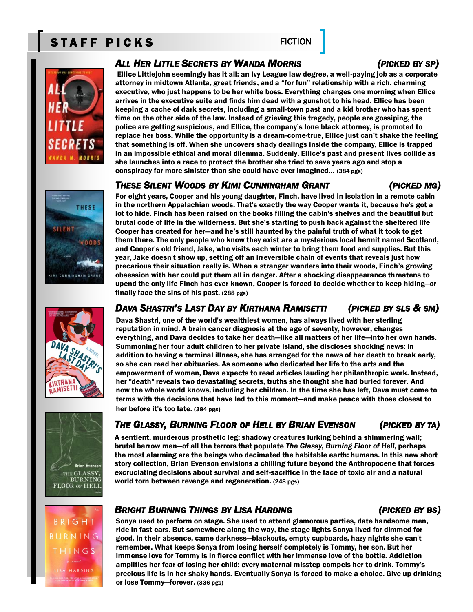# STAFF PICKS FICTION



**THESE** 

 $400D$ 

**SILENT** 

### *ALL HER LITTLE SECRETS BY WANDA MORRIS (PICKED BY SP)*

Ellice Littlejohn seemingly has it all: an Ivy League law degree, a well-paying job as a corporate attorney in midtown Atlanta, great friends, and a "for fun" relationship with a rich, charming executive, who just happens to be her white boss. Everything changes one morning when Ellice arrives in the executive suite and finds him dead with a gunshot to his head. Ellice has been keeping a cache of dark secrets, including a small-town past and a kid brother who has spent time on the other side of the law. Instead of grieving this tragedy, people are gossiping, the police are getting suspicious, and Ellice, the company's lone black attorney, is promoted to replace her boss. While the opportunity is a dream-come-true, Ellice just can't shake the feeling that something is off. When she uncovers shady dealings inside the company, Ellice is trapped in an impossible ethical and moral dilemma. Suddenly, Ellice's past and present lives collide as she launches into a race to protect the brother she tried to save years ago and stop a conspiracy far more sinister than she could have ever imagined… (384 pgs)

### *THESE SILENT WOODS BY KIMI CUNNINGHAM GRANT (PICKED MG)*

For eight years, Cooper and his young daughter, Finch, have lived in isolation in a remote cabin in the northern Appalachian woods. That's exactly the way Cooper wants it, because he's got a lot to hide. Finch has been raised on the books filling the cabin's shelves and the beautiful but brutal code of life in the wilderness. But she's starting to push back against the sheltered life Cooper has created for her―and he's still haunted by the painful truth of what it took to get them there. The only people who know they exist are a mysterious local hermit named Scotland, and Cooper's old friend, Jake, who visits each winter to bring them food and supplies. But this year, Jake doesn't show up, setting off an irreversible chain of events that reveals just how precarious their situation really is. When a stranger wanders into their woods, Finch's growing obsession with her could put them all in danger. After a shocking disappearance threatens to upend the only life Finch has ever known, Cooper is forced to decide whether to keep hiding―or finally face the sins of his past. (288 pgs)



MI CUNNINGHAM GRA



### DAVA SHASTRI'S LAST DAY BY KIRTHANA RAMISETTI (PICKED BY SLS & SM)

Dava Shastri, one of the world's wealthiest women, has always lived with her sterling reputation in mind. A brain cancer diagnosis at the age of seventy, however, changes everything, and Dava decides to take her death—like all matters of her life—into her own hands. Summoning her four adult children to her private island, she discloses shocking news: in addition to having a terminal illness, she has arranged for the news of her death to break early, so she can read her obituaries. As someone who dedicated her life to the arts and the empowerment of women, Dava expects to read articles lauding her philanthropic work. Instead, her "death" reveals two devastating secrets, truths she thought she had buried forever. And now the whole world knows, including her children. In the time she has left, Dava must come to terms with the decisions that have led to this moment—and make peace with those closest to her before it's too late. (384 pgs)

## The Glassy, Burning Floor of Hell by Brian Evenson (Picked by Ta)

A sentient, murderous prosthetic leg; shadowy creatures lurking behind a shimmering wall; brutal barrow men―of all the terrors that populate *The Glassy, Burning Floor of Hell,* perhaps the most alarming are the beings who decimated the habitable earth: humans. In this new short story collection, Brian Evenson envisions a chilling future beyond the Anthropocene that forces excruciating decisions about survival and self-sacrifice in the face of toxic air and a natural world torn between revenge and regeneration. (248 pgs)

# *BRIGHT BURNING THINGS BY LISA HARDING (PICKED BY BS)*

Sonya used to perform on stage. She used to attend glamorous parties, date handsome men, ride in fast cars. But somewhere along the way, the stage lights Sonya lived for dimmed for good. In their absence, came darkness—blackouts, empty cupboards, hazy nights she can't remember. What keeps Sonya from losing herself completely is Tommy, her son. But her immense love for Tommy is in fierce conflict with her immense love of the bottle. Addiction amplifies her fear of losing her child; every maternal misstep compels her to drink. Tommy's precious life is in her shaky hands. Eventually Sonya is forced to make a choice. Give up drinking or lose Tommy—forever. (336 pgs)



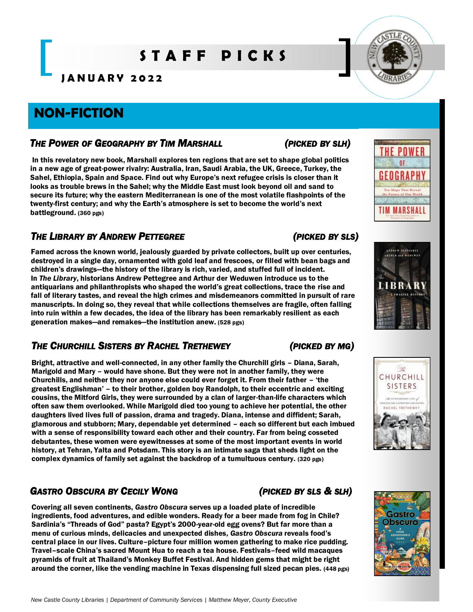# **S T A F F P I C K S**

**J A N U A R Y 2 0 2 2**

# **NON-FICTION**

### *THE POWER OF GEOGRAPHY BY TIM MARSHALL (PICKED BY SLH)*

In this revelatory new book, Marshall explores ten regions that are set to shape global politics in a new age of great-power rivalry: Australia, Iran, Saudi Arabia, the UK, Greece, Turkey, the Sahel, Ethiopia, Spain and Space. Find out why Europe's next refugee crisis is closer than it looks as trouble brews in the Sahel; why the Middle East must look beyond oil and sand to secure its future; why the eastern Mediterranean is one of the most volatile flashpoints of the twenty-first century; and why the Earth's atmosphere is set to become the world's next battleground. (360 pgs)

### *THE LIBRARY BY ANDREW PETTEGREE (PICKED BY SLS)*

Famed across the known world, jealously guarded by private collectors, built up over centuries, destroyed in a single day, ornamented with gold leaf and frescoes, or filled with bean bags and children's drawings—the history of the library is rich, varied, and stuffed full of incident. In *The Library*, historians Andrew Pettegree and Arthur der Weduwen introduce us to the antiquarians and philanthropists who shaped the world's great collections, trace the rise and fall of literary tastes, and reveal the high crimes and misdemeanors committed in pursuit of rare manuscripts. In doing so, they reveal that while collections themselves are fragile, often falling into ruin within a few decades, the idea of the library has been remarkably resilient as each generation makes—and remakes—the institution anew. (528 pgs)

## *THE CHURCHILL SISTERS BY RACHEL TRETHEWEY (PICKED BY MG)*

Bright, attractive and well-connected, in any other family the Churchill girls – Diana, Sarah, Marigold and Mary – would have shone. But they were not in another family, they were Churchills, and neither they nor anyone else could ever forget it. From their father – 'the greatest Englishman' – to their brother, golden boy Randolph, to their eccentric and exciting cousins, the Mitford Girls, they were surrounded by a clan of larger-than-life characters which often saw them overlooked. While Marigold died too young to achieve her potential, the other daughters lived lives full of passion, drama and tragedy. Diana, intense and diffident; Sarah, glamorous and stubborn; Mary, dependable yet determined – each so different but each imbued with a sense of responsibility toward each other and their country. Far from being cosseted debutantes, these women were eyewitnesses at some of the most important events in world history, at Tehran, Yalta and Potsdam. This story is an intimate saga that sheds light on the complex dynamics of family set against the backdrop of a tumultuous century. (320 pgs)

# *GASTRO OBSCURA BY CECILY WONG (PICKED BY SLS & SLH)*

Covering all seven continents, *Gastro Obscura* serves up a loaded plate of incredible ingredients, food adventures, and edible wonders. Ready for a beer made from fog in Chile? Sardinia's "Threads of God" pasta? Egypt's 2000-year-old egg ovens? But far more than a menu of curious minds, delicacies and unexpected dishes*, Gastro Obscura* reveals food's central place in our lives. Culture–picture four million women gathering to make rice pudding. Travel–scale China's sacred Mount Hua to reach a tea house. Festivals–feed wild macaques pyramids of fruit at Thailand's Monkey Buffet Festival. And hidden gems that might be right around the corner, like the vending machine in Texas dispensing full sized pecan pies. (448 pgs)









POWER 0F GEOGRAPH

**Maps That Revea** 

TIM MARSHALL

**OVEREN PATTROLLE**